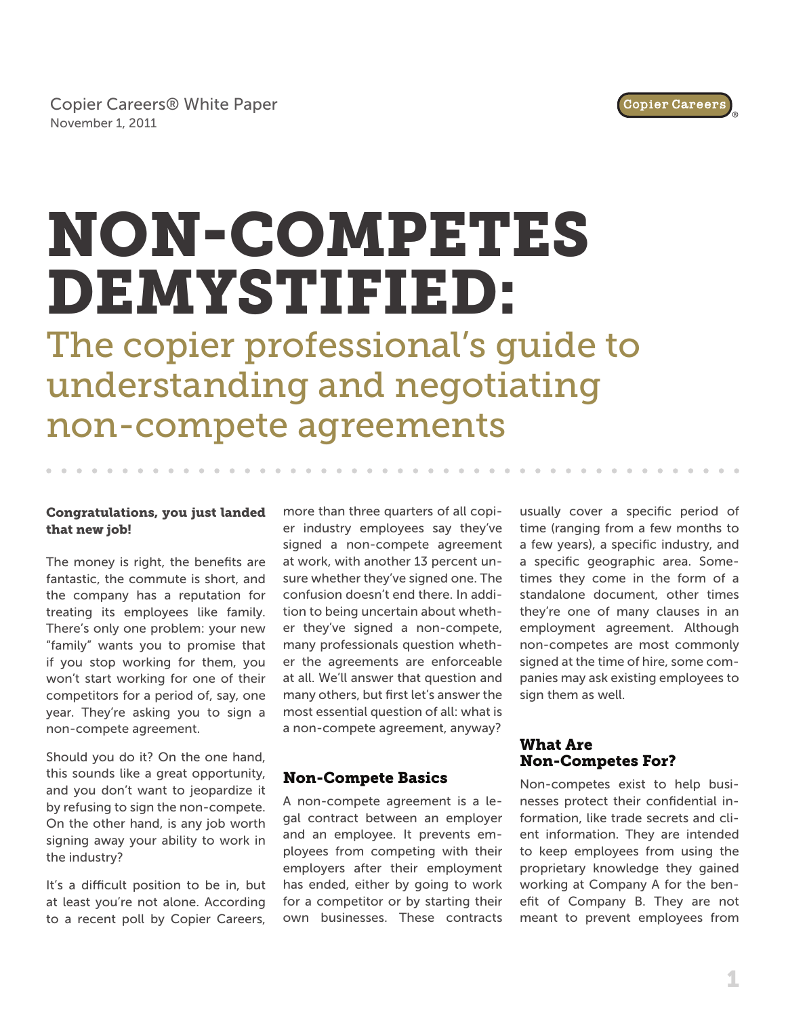# NON-COMPETES DEMYSTIFIED:

The copier professional's guide to understanding and negotiating non-compete agreements

#### Congratulations, you just landed that new job!

The money is right, the benefits are fantastic, the commute is short, and the company has a reputation for treating its employees like family. There's only one problem: your new "family" wants you to promise that if you stop working for them, you won't start working for one of their competitors for a period of, say, one year. They're asking you to sign a non-compete agreement.

Should you do it? On the one hand, this sounds like a great opportunity, and you don't want to jeopardize it by refusing to sign the non-compete. On the other hand, is any job worth signing away your ability to work in the industry?

It's a difficult position to be in, but at least you're not alone. According to a recent poll by Copier Careers, more than three quarters of all copier industry employees say they've signed a non-compete agreement at work, with another 13 percent unsure whether they've signed one. The confusion doesn't end there. In addition to being uncertain about whether they've signed a non-compete, many professionals question whether the agreements are enforceable at all. We'll answer that question and many others, but first let's answer the most essential question of all: what is a non-compete agreement, anyway?

# Non-Compete Basics

A non-compete agreement is a legal contract between an employer and an employee. It prevents employees from competing with their employers after their employment has ended, either by going to work for a competitor or by starting their own businesses. These contracts usually cover a specific period of time (ranging from a few months to a few years), a specific industry, and a specific geographic area. Sometimes they come in the form of a standalone document, other times they're one of many clauses in an employment agreement. Although non-competes are most commonly signed at the time of hire, some companies may ask existing employees to sign them as well.

# What Are Non-Competes For?

Non-competes exist to help businesses protect their confidential information, like trade secrets and client information. They are intended to keep employees from using the proprietary knowledge they gained working at Company A for the benefit of Company B. They are not meant to prevent employees from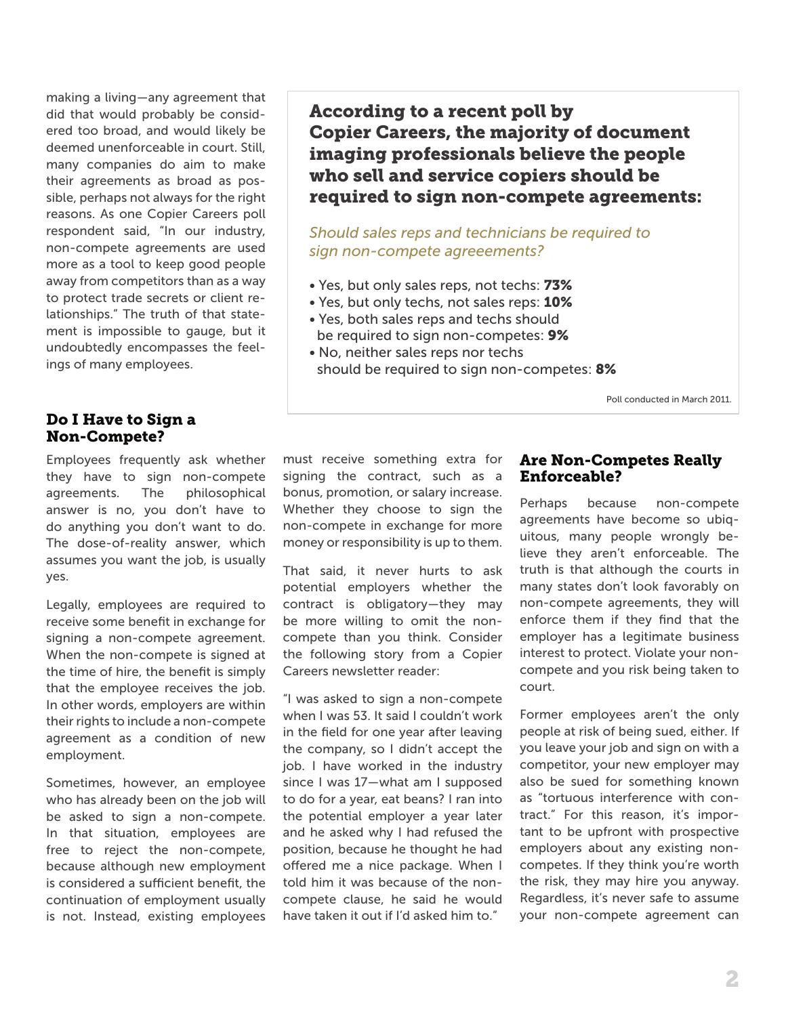making a living—any agreement that did that would probably be considered too broad, and would likely be deemed unenforceable in court. Still, many companies do aim to make their agreements as broad as possible, perhaps not always for the right reasons. As one Copier Careers poll respondent said, "In our industry, non-compete agreements are used more as a tool to keep good people away from competitors than as a way to protect trade secrets or client relationships." The truth of that statement is impossible to gauge, but it undoubtedly encompasses the feelings of many employees.

#### Do I Have to Sign a Non-Compete?

Employees frequently ask whether they have to sign non-compete agreements. The philosophical answer is no, you don't have to do anything you don't want to do. The dose-of-reality answer, which assumes you want the job, is usually yes.

Legally, employees are required to receive some benefit in exchange for signing a non-compete agreement. When the non-compete is signed at the time of hire, the benefit is simply that the employee receives the job. In other words, employers are within their rights to include a non-compete agreement as a condition of new employment.

Sometimes, however, an employee who has already been on the job will be asked to sign a non-compete. In that situation, employees are free to reject the non-compete, because although new employment is considered a sufficient benefit, the continuation of employment usually is not. Instead, existing employees According to a recent poll by Copier Careers, the majority of document imaging professionals believe the people who sell and service copiers should be required to sign non-compete agreements:

*Should sales reps and technicians be required to sign non-compete agreeements?* 

- Yes, but only sales reps, not techs: 73%
- Yes, but only techs, not sales reps: 10%
- Yes, both sales reps and techs should be required to sign non-competes: 9%
- No, neither sales reps nor techs should be required to sign non-competes: 8%

Poll conducted in March 2011.

must receive something extra for signing the contract, such as a bonus, promotion, or salary increase. Whether they choose to sign the non-compete in exchange for more money or responsibility is up to them.

That said, it never hurts to ask potential employers whether the contract is obligatory—they may be more willing to omit the noncompete than you think. Consider the following story from a Copier Careers newsletter reader:

"I was asked to sign a non-compete when I was 53. It said I couldn't work in the field for one year after leaving the company, so I didn't accept the job. I have worked in the industry since I was 17—what am I supposed to do for a year, eat beans? I ran into the potential employer a year later and he asked why I had refused the position, because he thought he had offered me a nice package. When I told him it was because of the noncompete clause, he said he would have taken it out if I'd asked him to."

#### Are Non-Competes Really Enforceable?

Perhaps because non-compete agreements have become so ubiquitous, many people wrongly believe they aren't enforceable. The truth is that although the courts in many states don't look favorably on non-compete agreements, they will enforce them if they find that the employer has a legitimate business interest to protect. Violate your noncompete and you risk being taken to court.

Former employees aren't the only people at risk of being sued, either. If you leave your job and sign on with a competitor, your new employer may also be sued for something known as "tortuous interference with contract." For this reason, it's important to be upfront with prospective employers about any existing noncompetes. If they think you're worth the risk, they may hire you anyway. Regardless, it's never safe to assume your non-compete agreement can